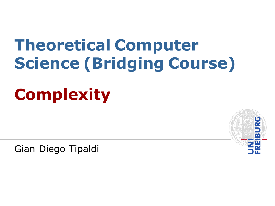# **Theoretical Computer Science (Bridging Course)**

# **Complexity**

Gian Diego Tipaldi

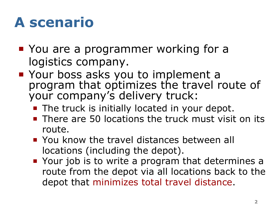#### **A scenario**

- You are a programmer working for a logistics company.
- Your boss asks you to implement a program that optimizes the travel route of your company's delivery truck:
	- The truck is initially located in your depot.
	- **There are 50 locations the truck must visit on its** route.
	- **You know the travel distances between all** locations (including the depot).
	- Your job is to write a program that determines a route from the depot via all locations back to the depot that minimizes total travel distance.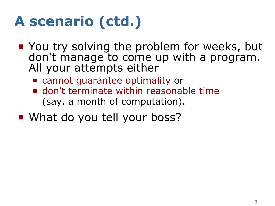# **A scenario (ctd.)**

- **You try solving the problem for weeks, but** don't manage to come up with a program. All your attempts either
	- cannot guarantee optimality or
	- **don't terminate within reasonable time** (say, a month of computation).
- What do you tell your boss?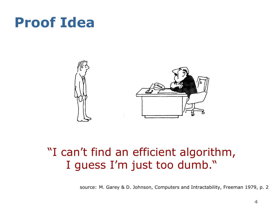#### **Proof Idea**



#### "I can't find an efficient algorithm, I guess I'm just too dumb."

source: M. Garey & D. Johnson, Computers and Intractability, Freeman 1979, p. 2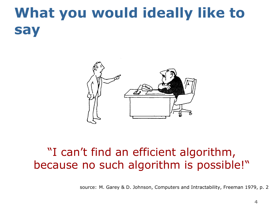#### **What you would ideally like to say**



#### "I can't find an efficient algorithm, because no such algorithm is possible!"

source: M. Garey & D. Johnson, Computers and Intractability, Freeman 1979, p. 2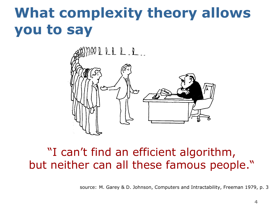#### **What complexity theory allows you to say**



#### "I can't find an efficient algorithm, but neither can all these famous people."

source: M. Garey & D. Johnson, Computers and Intractability, Freeman 1979, p. 3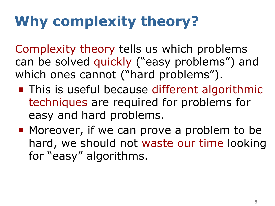# **Why complexity theory?**

Complexity theory tells us which problems can be solved quickly ("easy problems") and which ones cannot ("hard problems").

- This is useful because different algorithmic techniques are required for problems for easy and hard problems.
- **Moreover, if we can prove a problem to be** hard, we should not waste our time looking for "easy" algorithms.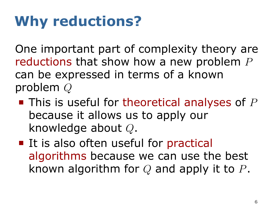# **Why reductions?**

One important part of complexity theory are reductions that show how a new problem *P* can be expressed in terms of a known problem *Q*

- This is useful for theoretical analyses of *P* because it allows us to apply our knowledge about *Q*.
- It is also often useful for practical algorithms because we can use the best known algorithm for *Q* and apply it to *P*.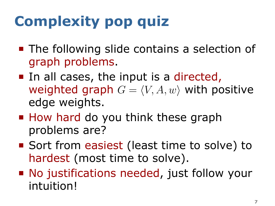# **Complexity pop quiz**

- **The following slide contains a selection of** graph problems.
- In all cases, the input is a directed, weighted graph  $G = \langle V, A, w \rangle$  with positive edge weights.
- How hard do you think these graph problems are?
- Sort from easiest (least time to solve) to hardest (most time to solve).
- No justifications needed, just follow your intuition!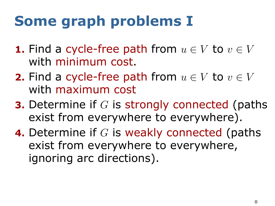## **Some graph problems I**

- **1.** Find a cycle-free path from  $u \in V$  to  $v \in V$ with minimum cost.
- **2.** Find a cycle-free path from  $u \in V$  to  $v \in V$ with maximum cost
- **3.** Determine if *G* is strongly connected (paths exist from everywhere to everywhere).
- **4.** Determine if *G* is weakly connected (paths exist from everywhere to everywhere, ignoring arc directions).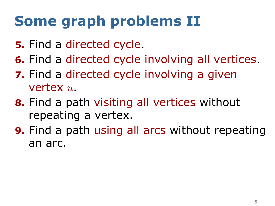## **Some graph problems II**

- **5.** Find a directed cycle.
- **6.** Find a directed cycle involving all vertices.
- **7.** Find a directed cycle involving a given vertex *u*.
- **8.** Find a path visiting all vertices without repeating a vertex.
- **9.** Find a path using all arcs without repeating an arc.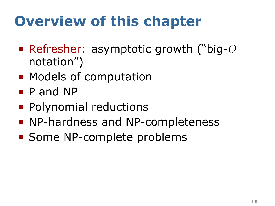## **Overview of this chapter**

- Refresher: asymptotic growth ("big-*O* notation")
- Models of computation
- P and NP
- Polynomial reductions
- **NP-hardness and NP-completeness**
- Some NP-complete problems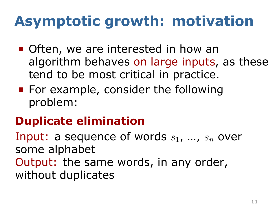## **Asymptotic growth: motivation**

- Often, we are interested in how an algorithm behaves on large inputs, as these tend to be most critical in practice.
- For example, consider the following problem:

#### . **Duplicate elimination** .

Input: a sequence of words *s*1, …, *s<sup>n</sup>* over some alphabet

. without duplicates Output: the same words, in any order,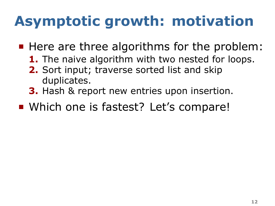## **Asymptotic growth: motivation**

- Here are three algorithms for the problem:
	- **1.** The naive algorithm with two nested for loops.
	- **2.** Sort input; traverse sorted list and skip duplicates.
	- **3.** Hash & report new entries upon insertion.
- **Which one is fastest? Let's compare!**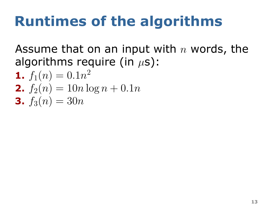#### **Runtimes of the algorithms**

Assume that on an input with *n* words, the algorithms require (in *µ*s):

**1.**  $f_1(n) = 0.1n^2$ **2.**  $f_2(n) = 10n \log n + 0.1n$ **3.**  $f_3(n) = 30n$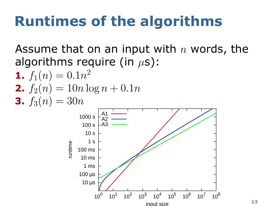#### **Runtimes of the algorithms**

Assume that on an input with *n* words, the algorithms require (in *µ*s):

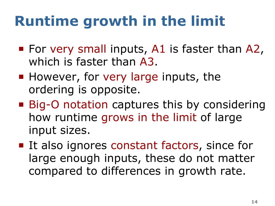## **Runtime growth in the limit**

- **For very small inputs, A1 is faster than A2,** which is faster than A3.
- $\blacksquare$  However, for very large inputs, the ordering is opposite.
- Big-O notation captures this by considering how runtime grows in the limit of large input sizes.
- **It also ignores constant factors, since for** large enough inputs, these do not matter compared to differences in growth rate.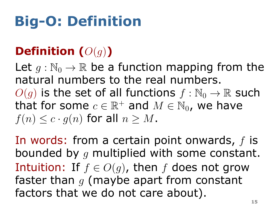## **Big-O: Definition**

#### . **Definition (***O*(*g*)**)** .

 $f(n) \leq c \cdot g(n)$  for all  $n \geq M$ . Let  $q: \mathbb{N}_0 \to \mathbb{R}$  be a function mapping from the natural numbers to the real numbers.  $O(q)$  is the set of all functions  $f : \mathbb{N}_0 \to \mathbb{R}$  such that for some  $c \in \mathbb{R}^+$  and  $M \in \mathbb{N}_0$ , we have

In words: from a certain point onwards, *f* is bounded by *g* multiplied with some constant. Intuition: If  $f \in O(q)$ , then *f* does not grow faster than *g* (maybe apart from constant factors that we do not care about).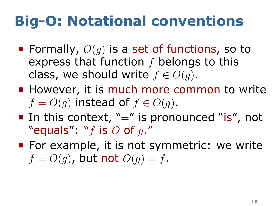#### **Big-O: Notational conventions**

- Formally,  $O(q)$  is a set of functions, so to express that function *f* belongs to this class, we should write  $f \in O(q)$ .
- However, it is much more common to write  $f = O(q)$  instead of  $f \in O(q)$ .
- In this context,  $" ="$  is pronounced "is", not "equals": "*f* is *O* of *g*."
- **For example, it is not symmetric: we write**  $f = O(q)$ , but not  $O(q) = f$ .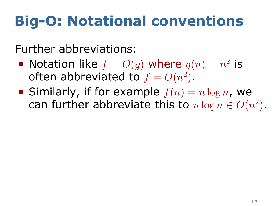#### **Big-O: Notational conventions**

Further abbreviations:

- Notation like  $f = O(g)$  where  $g(n) = n^2$  is often abbreviated to  $f = O(n^2)$ .
- Similarly, if for example  $f(n) = n \log n$ , we can further abbreviate this to  $n \log n \in O(n^2)$ .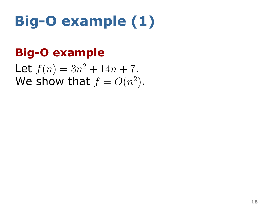# **Big-O example (1)**

#### . **Big-O example** .

We show that  $f = O(n^2)$ . Let  $f(n) = 3n^2 + 14n + 7$ .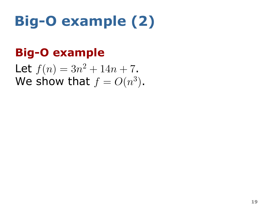# **Big-O example (2)**

#### . **Big-O example** .

We show that  $f = O(n^3)$ . Let  $f(n) = 3n^2 + 14n + 7$ .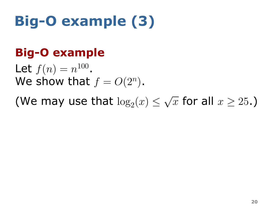# **Big-O example (3)**

#### . **Big-O example** .

We show that  $f = O(2^n)$ . Let  $f(n) = n^{100}$ .

(We may use that  $\log_2(x) \leq$ *√*  $\overline{x}$  for all  $x \geq 25.$  )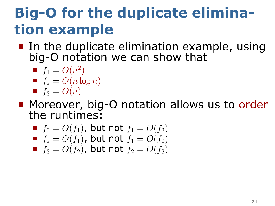## **Big-O for the duplicate elimination example**

- In the duplicate elimination example, using big-O notation we can show that
	- $f_1 = O(n^2)$  $f_2 = O(n \log n)$
	- $f_3 = O(n)$
- **Moreover, big-O notation allows us to order** the runtimes:
	- $f_3 = O(f_1)$ , but not  $f_1 = O(f_3)$
	- $f_2 = O(f_1)$ , but not  $f_1 = O(f_2)$
	- $f_3 = O(f_2)$ , but not  $f_2 = O(f_3)$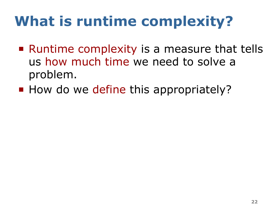#### **What is runtime complexity?**

- Runtime complexity is a measure that tells us how much time we need to solve a problem.
- How do we define this appropriately?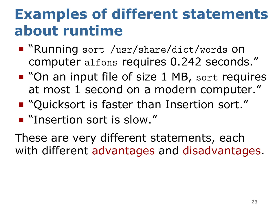#### **Examples of different statements about runtime**

- "Running sort /usr/share/dict/words on computer alfons requires 0.242 seconds."
- "On an input file of size 1 MB, sort requires at most 1 second on a modern computer."
- "Quicksort is faster than Insertion sort."
- **F** "Insertion sort is slow."

These are very different statements, each with different advantages and disadvantages.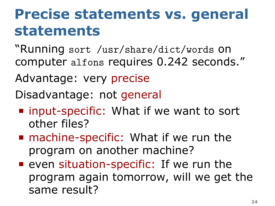#### **Precise statements vs. general statements**

"Running sort /usr/share/dict/words on computer alfons requires 0.242 seconds."

Advantage: very precise

Disadvantage: not general

- input-specific: What if we want to sort other files?
- machine-specific: What if we run the program on another machine?
- **P** even situation-specific: If we run the program again tomorrow, will we get the same result?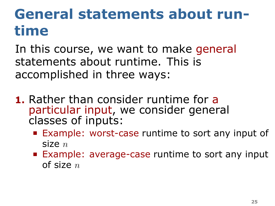- **1.** Rather than consider runtime for a particular input, we consider general classes of inputs:
	- **Example: worst-case runtime to sort any input of** size *n*
	- **Example: average-case runtime to sort any input** of size *n*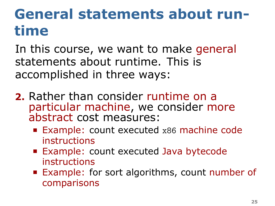- **2.** Rather than consider runtime on a particular machine, we consider more abstract cost measures:
	- Example: count executed x86 machine code instructions
	- **Example: count executed Java bytecode** instructions
	- Example: for sort algorithms, count number of comparisons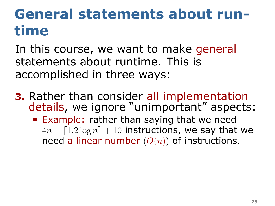- **3.** Rather than consider all implementation details, we ignore "unimportant" aspects:
	- **Example: rather than saying that we need**  $4n - [1.2 \log n] + 10$  instructions, we say that we need a linear number (*O*(*n*)) of instructions.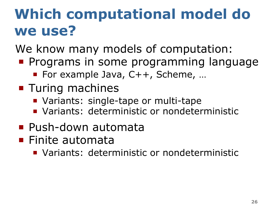## **Which computational model do we use?**

We know many models of computation:

- **Programs in some programming language** 
	- For example Java, C++, Scheme, ...
- **Turing machines** 
	- **Variants: single-tape or multi-tape**
	- Variants: deterministic or nondeterministic
- **Push-down automata**
- Finite automata
	- **Variants: deterministic or nondeterministic**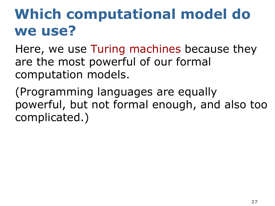## **Which computational model do we use?**

Here, we use Turing machines because they are the most powerful of our formal computation models.

(Programming languages are equally powerful, but not formal enough, and also too complicated.)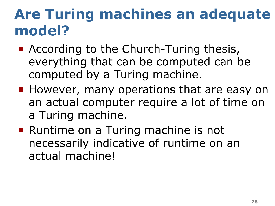## **Are Turing machines an adequate model?**

- According to the Church-Turing thesis, everything that can be computed can be computed by a Turing machine.
- **However, many operations that are easy on** an actual computer require a lot of time on a Turing machine.
- Runtime on a Turing machine is not necessarily indicative of runtime on an actual machine!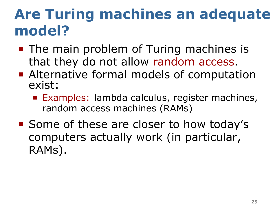## **Are Turing machines an adequate model?**

- The main problem of Turing machines is that they do not allow random access.
- **Alternative formal models of computation** exist:
	- **Examples: lambda calculus, register machines,** random access machines (RAMs)
- Some of these are closer to how today's computers actually work (in particular, RAMs).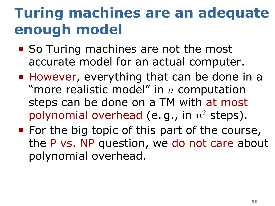#### **Turing machines are an adequate enough model**

- So Turing machines are not the most accurate model for an actual computer.
- **However, everything that can be done in a** "more realistic model" in *n* computation steps can be done on a TM with at most polynomial overhead (e. g., in *n* <sup>2</sup> steps).
- For the big topic of this part of the course, the P vs. NP question, we do not care about polynomial overhead.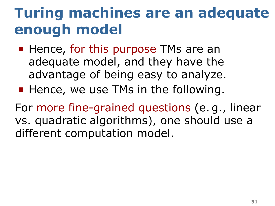# **Turing machines are an adequate enough model**

- Hence, for this purpose TMs are an adequate model, and they have the advantage of being easy to analyze.
- Hence, we use TMs in the following.

For more fine-grained questions (e. g., linear vs. quadratic algorithms), one should use a different computation model.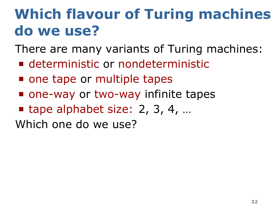# **Which flavour of Turing machines do we use?**

There are many variants of Turing machines:

- deterministic or nondeterministic
- one tape or multiple tapes
- one-way or two-way infinite tapes
- tape alphabet size:  $2, 3, 4, ...$

Which one do we use?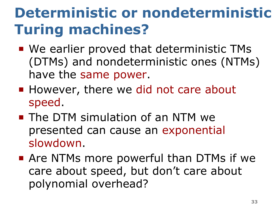# **Deterministic or nondeterministic Turing machines?**

- We earlier proved that deterministic TMs (DTMs) and nondeterministic ones (NTMs) have the same power.
- However, there we did not care about speed.
- **The DTM simulation of an NTM we** presented can cause an exponential slowdown.
- **Are NTMs more powerful than DTMs if we** care about speed, but don't care about polynomial overhead?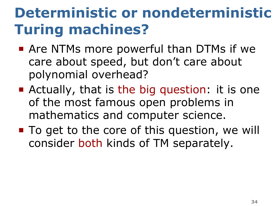# **Deterministic or nondeterministic Turing machines?**

- **Are NTMs more powerful than DTMs if we** care about speed, but don't care about polynomial overhead?
- **E** Actually, that is the big question: it is one of the most famous open problems in mathematics and computer science.
- To get to the core of this question, we will consider both kinds of TM separately.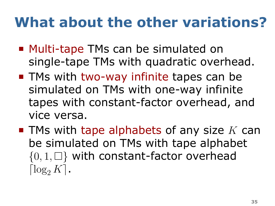### **What about the other variations?**

- Multi-tape TMs can be simulated on single-tape TMs with quadratic overhead.
- **TMs with two-way infinite tapes can be** simulated on TMs with one-way infinite tapes with constant-factor overhead, and vice versa.
- TMs with tape alphabets of any size *K* can be simulated on TMs with tape alphabet *{*0*,* 1*,* □*}* with constant-factor overhead  $\lceil \log_2 K \rceil$ .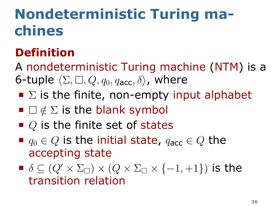# **Nondeterministic Turing machines**

#### . **Definition** .

A nondeterministic Turing machine (NTM) is a 6-tuple  $\langle \Sigma, \square, Q, q_0, q_{\text{acc}}, \delta \rangle$ , where

- $\blacksquare$   $\Sigma$  is the finite, non-empty input alphabet
- □ *∈*/ Σ is the blank symbol
- *Q* is the finite set of states
- $q_0 \in Q$  is the initial state,  $q_{\text{acc}} \in Q$  the accepting state
- $\blacksquare$   $\delta$  ⊆ ( $Q'$   $\times$   $\Sigma_{\square}$ )  $\times$  ( $Q$   $\times$   $\Sigma_{\square}$   $\times$  {−1, +1}) is the transition relation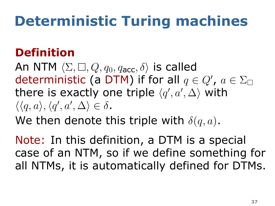# **Deterministic Turing machines**

#### . **Definition** .

An NTM  $\langle \Sigma, \square, Q, q_0, q_{\text{acc}}, \delta \rangle$  is called deterministic (a DTM) if for all  $q \in Q'$ ,  $a \in \Sigma_{\square}$ there is exactly one triple  $\langle q',a',\Delta\rangle$  with  $\langle \langle q, a \rangle, \langle q', a', \Delta \rangle \in \delta$ .

We then denote this triple with  $\delta(q,a)$ .

Note: In this definition, a DTM is a special case of an NTM, so if we define something for all NTMs, it is automatically defined for DTMs.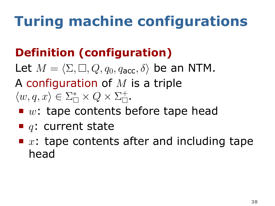# **Turing machine configurations**

### . **Definition (configuration)** .

Let  $M = \langle \Sigma, \square, Q, q_0, q_{\text{acc}}, \delta \rangle$  be an NTM. A configuration of *M* is a triple  $\langle w, q, x \rangle \in \Sigma_{\square}^* \times Q \times \Sigma_{\square}^+$  $\overline{\square}$  .

- *w*: tape contents before tape head
- *q*: current state
- x: tape contents after and including tape head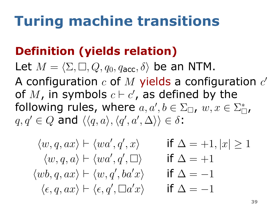# **Turing machine transitions**

### . **Definition (yields relation)** .

Let  $M = \langle \Sigma, \square, Q, q_0, q_{\text{acc}}, \delta \rangle$  be an NTM. A configuration *c* of *M* yields a configuration *c ′* of  $M$ , in symbols  $c \vdash c'$ , as defined by the following rules, where  $a, a', b \in \Sigma_{\Box}$ ,  $w, x \in \Sigma_{\Box}^*$ ,  $q, q' \in Q$  and  $\langle \langle q, a \rangle, \langle q', a', \Delta \rangle \rangle \in \delta$ :

$$
\langle w, q, ax \rangle \vdash \langle wa', q', x \rangle \quad \text{if } \Delta = +1, |x| \ge 1
$$
  

$$
\langle w, q, a \rangle \vdash \langle wa', q', \Box \rangle \quad \text{if } \Delta = +1
$$
  

$$
\langle wb, q, ax \rangle \vdash \langle w, q', ba'x \rangle \quad \text{if } \Delta = -1
$$
  

$$
\langle \epsilon, q, ax \rangle \vdash \langle \epsilon, q', \Box a'x \rangle \quad \text{if } \Delta = -1
$$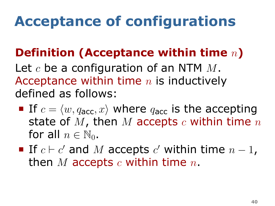# **Acceptance of configurations**

### . **Definition (Acceptance within time** *n***)** .

Let *c* be a configuration of an NTM *M*. Acceptance within time *n* is inductively defined as follows:

- If  $c = \langle w, q_{\text{acc}}, x \rangle$  where  $q_{\text{acc}}$  is the accepting state of *M*, then *M* accepts *c* within time *n* for all  $n \in \mathbb{N}_0$ .
- If  $c \vdash c'$  and  $M$  accepts  $c'$  within time  $n-1$ , then *M* accepts *c* within time *n*.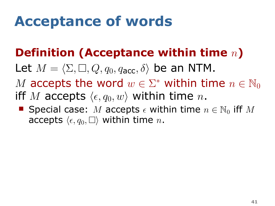### **Acceptance of words**

### . **Definition (Acceptance within time** *n***)** .

- Let  $M = \langle \Sigma, \square, Q, q_0, q_{\text{acc}}, \delta \rangle$  be an NTM.
- *M* accepts the word  $w \in \Sigma^*$  within time  $n \in \mathbb{N}_0$ iff *M* accepts  $\langle \epsilon, q_0, w \rangle$  within time *n*.
- Special case: *M* accepts  $\epsilon$  within time  $n \in \mathbb{N}_0$  iff *M* accepts  $\langle \epsilon, q_0, \square \rangle$  within time *n*.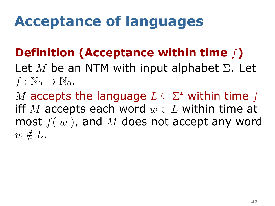# **Acceptance of languages**

### . **Definition (Acceptance within time** *f***)** .

Let *M* be an NTM with input alphabet Σ. Let  $f : \mathbb{N}_0 \to \mathbb{N}_0$ .

 $w \notin L$ . *M* accepts the language *L ⊆* Σ *<sup>∗</sup>* within time *f* iff *M* accepts each word  $w \in L$  within time at most *f*(*|w|*), and *M* does not accept any word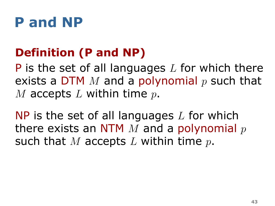### **P and NP**

### . **Definition (P and NP)** .

P is the set of all languages *L* for which there exists a DTM *M* and a polynomial *p* such that *M* accepts *L* within time *p*.

. such that *M* accepts *L* within time *p*. NP is the set of all languages *L* for which there exists an NTM *M* and a polynomial *p*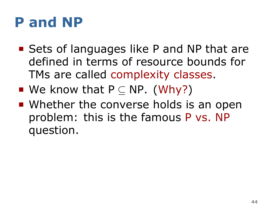### **P and NP**

- Sets of languages like P and NP that are defined in terms of resource bounds for TMs are called complexity classes.
- We know that P *⊆* NP. (Why?)
- Whether the converse holds is an open problem: this is the famous P vs. NP question.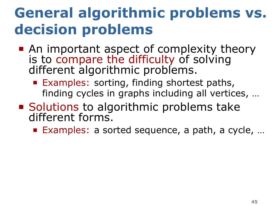### **General algorithmic problems vs. decision problems**

- An important aspect of complexity theory is to compare the difficulty of solving different algorithmic problems.
	- **Examples: sorting, finding shortest paths,** finding cycles in graphs including all vertices, …
- **Solutions to algorithmic problems take** different forms.
	- Examples: a sorted sequence, a path, a cycle, ...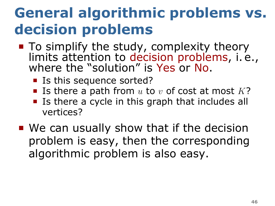### **General algorithmic problems vs. decision problems**

- To simplify the study, complexity theory limits attention to decision problems, i. e., where the "solution" is Yes or No.
	- Is this sequence sorted?
	- **I**s there a path from  $u$  to  $v$  of cost at most  $K$ ?
	- **If** Is there a cycle in this graph that includes all vertices?
- We can usually show that if the decision problem is easy, then the corresponding algorithmic problem is also easy.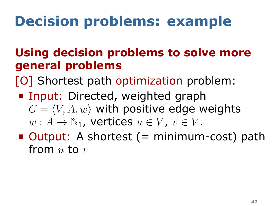# **Decision problems: example**

#### . **Using decision problems to solve more general problems** .<br>.

[O] Shortest path optimization problem:

- Input: Directed, weighted graph  $G = \langle V, A, w \rangle$  with positive edge weights  $w: A \to \mathbb{N}_1$ , vertices  $u \in V$ ,  $v \in V$ .
- Output: A shortest (= minimum-cost) path from *u* to *v*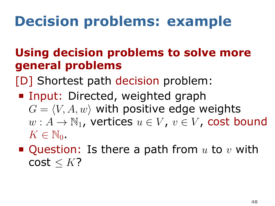# **Decision problems: example**

### . **Using decision problems to solve more general problems** .

[D] Shortest path decision problem:

- Input: Directed, weighted graph  $G = \langle V, A, w \rangle$  with positive edge weights  $w: A \to \mathbb{N}_1$ , vertices  $u \in V$ ,  $v \in V$ , cost bound  $K \in \mathbb{N}_0$ .
- Question: Is there a path from *u* to *v* with cost *≤ K*?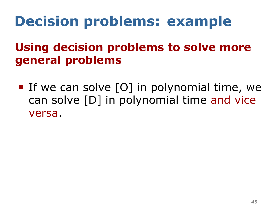# **Decision problems: example**

### . **Using decision problems to solve more general problems** ..

If we can solve  $[0]$  in polynomial time, we can solve [D] in polynomial time and vice versa.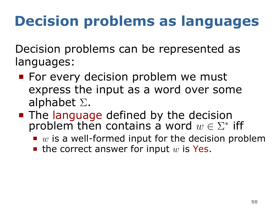Decision problems can be represented as languages:

- **For every decision problem we must** express the input as a word over some alphabet Σ.
- The language defined by the decision problem then contains a word  $w \in \Sigma^*$  iff
	- *w* is a well-formed input for the decision problem
	- $\blacksquare$  the correct answer for input  $w$  is Yes.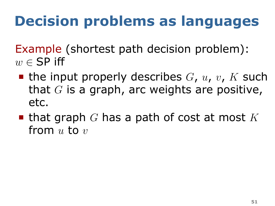Example (shortest path decision problem): *w ∈* SP iff

- $\blacksquare$  the input properly describes *G*, *u*, *v*, *K* such that *G* is a graph, arc weights are positive, etc.
- that graph *G* has a path of cost at most *K* from *u* to *v*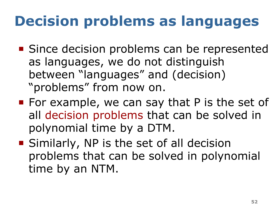- Since decision problems can be represented as languages, we do not distinguish between "languages" and (decision) "problems" from now on.
- For example, we can say that  $P$  is the set of all decision problems that can be solved in polynomial time by a DTM.
- **Similarly, NP is the set of all decision** problems that can be solved in polynomial time by an NTM.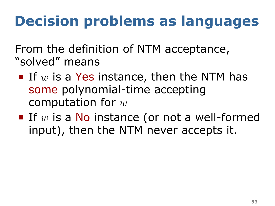From the definition of NTM acceptance, "solved" means

- If  $w$  is a Yes instance, then the NTM has some polynomial-time accepting computation for *w*
- If  $w$  is a No instance (or not a well-formed input), then the NTM never accepts it.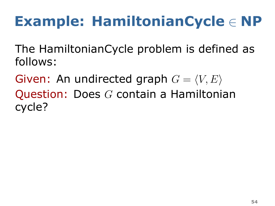# **Example: HamiltonianCycle** *∈* **NP**

The HamiltonianCycle problem is defined as follows:

Given: An undirected graph  $G = \langle V, E \rangle$ Question: Does *G* contain a Hamiltonian cycle?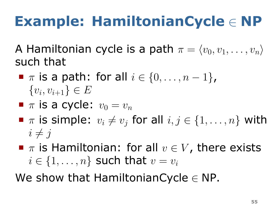# **Example: HamiltonianCycle** *∈* **NP**

A Hamiltonian cycle is a path  $\pi = \langle v_0, v_1, \ldots, v_n \rangle$ such that

- *π* is a path: for all *i ∈ {*0*, . . . , n −* 1*}*, *{v<sup>i</sup> , vi*+1*} ∈ E*
- $\blacksquare$   $\pi$  is a cycle:  $v_0 = v_n$
- $\blacksquare$  *π* is simple:  $v_i \neq v_j$  for all  $i, j \in \{1, \ldots, n\}$  with  $i \neq j$
- *π* is Hamiltonian: for all *v ∈ V* , there exists  $i \in \{1, \ldots, n\}$  such that  $v = v_i$

We show that HamiltonianCycle *∈* NP.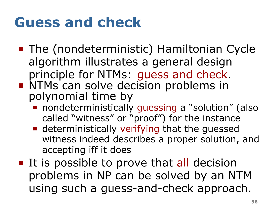### **Guess and check**

- The (nondeterministic) Hamiltonian Cycle algorithm illustrates a general design principle for NTMs: guess and check. **NTMs can solve decision problems in** polynomial time by
	- **n** nondeterministically quessing a "solution" (also called "witness" or "proof") for the instance
	- **Example 2** deterministically verifying that the quessed witness indeed describes a proper solution, and accepting iff it does
- **If is possible to prove that all decision** problems in NP can be solved by an NTM using such a guess-and-check approach.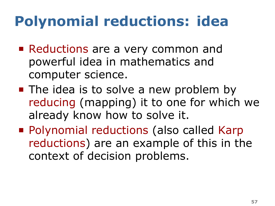# **Polynomial reductions: idea**

- Reductions are a very common and powerful idea in mathematics and computer science.
- The idea is to solve a new problem by reducing (mapping) it to one for which we already know how to solve it.
- **Polynomial reductions (also called Karp** reductions) are an example of this in the context of decision problems.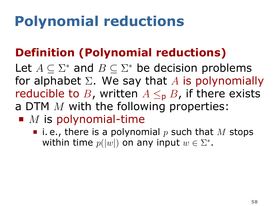# **Polynomial reductions**

### . **Definition (Polynomial reductions)** .

Let  $A \subseteq \Sigma^*$  and  $B \subseteq \Sigma^*$  be decision problems for alphabet Σ. We say that *A* is polynomially reducible to *B*, written  $A \leq_{p} B$ , if there exists a DTM *M* with the following properties:

- *M* is polynomial-time
	- $\blacksquare$  i.e., there is a polynomial p such that M stops within time  $p(|w|)$  on any input  $w \in \Sigma^*$ .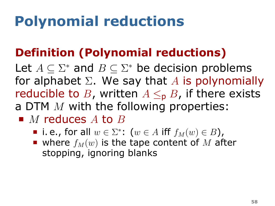# **Polynomial reductions**

### . **Definition (Polynomial reductions)** .

Let  $A \subseteq \Sigma^*$  and  $B \subseteq \Sigma^*$  be decision problems for alphabet Σ. We say that *A* is polynomially reducible to *B*, written  $A \leq_{p} B$ , if there exists a DTM *M* with the following properties:

- *M* reduces *A* to *B* 
	- $i.e.,$  for all  $w \in \Sigma^*$ :  $(w \in A \text{ iff } f_M(w) \in B)$ ,
	- where  $f_M(w)$  is the tape content of M after stopping, ignoring blanks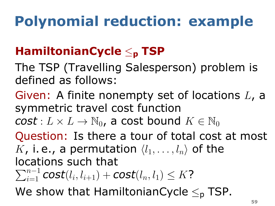# **Polynomial reduction: example**

### . **HamiltonianCycle** *≤***<sup>p</sup> TSP** .

- The TSP (Travelling Salesperson) problem is defined as follows:
- Given: A finite nonempty set of locations *L*, a symmetric travel cost function

 $\mathbf{cost}: L \times L \rightarrow \mathbb{N}_0$ , a cost bound  $K \in \mathbb{N}_0$ 

. We show that HamiltonianCycle *≤*<sup>p</sup> TSP. Question: Is there a tour of total cost at most *K*, i.e., a permutation  $\langle l_1, \ldots, l_n \rangle$  of the locations such that  $\sum_{i=1}^{n-1}$  *cost* $(l_i, l_{i+1})$  + *cost* $(l_n, l_1) \leq K$ ?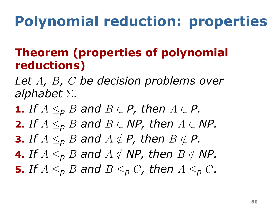# **Polynomial reduction: properties**

### . **Theorem (properties of polynomial reductions)** .

- *Let A, B, C be decision problems over alphabet* Σ*.*
- **1.** If  $A \leq_{p} B$  and  $B \in P$ , then  $A \in P$ .
- **2.** *If*  $A \leq p$  *B* and  $B \in \mathsf{NP}$ , then  $A \in \mathsf{NP}$ .
- **3.** *If*  $A \leq_{p} B$  and  $A \notin P$ , then  $B \notin P$ .
- **4.** *If*  $A \leq p$  *B* and  $A \notin \mathsf{NP}$ , then  $B \notin \mathsf{NP}$ .
- **5.** If  $A \leq_{p} B$  and  $B \leq_{p} C$ , then  $A \leq_{p} C$ .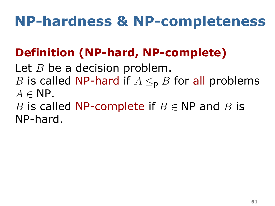# **NP-hardness & NP-completeness**

### . **Definition (NP-hard, NP-complete)** .

Let *B* be a decision problem. *B* is called NP-hard if  $A \leq_{p} B$  for all problems *A ∈* NP.

. NP-hard. *B* is called NP-complete if *B ∈* NP and *B* is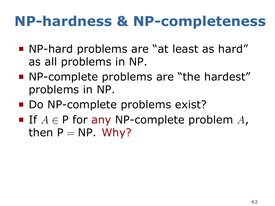### **NP-hardness & NP-completeness**

- NP-hard problems are "at least as hard" as all problems in NP.
- **NP-complete problems are "the hardest"** problems in NP.
- Do NP-complete problems exist?
- If *A ∈* P for any NP-complete problem *A*, then  $P = NP$ . Why?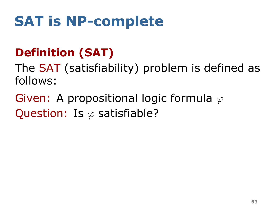# **SAT is NP-complete**

### . **Definition (SAT)** .

The SAT (satisfiability) problem is defined as follows:

. Question: Is *φ* satisfiable? Given: A propositional logic formula *φ*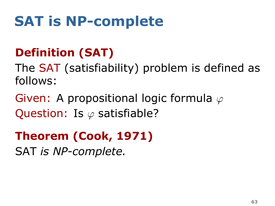### **SAT is NP-complete**

### . **Definition (SAT)** .

The SAT (satisfiability) problem is defined as follows:

. Question: Is *φ* satisfiable? Given: A propositional logic formula *φ*

### . **Theorem (Cook, 1971)** .

.SAT *is NP-complete.*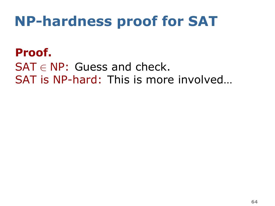### **NP-hardness proof for SAT**

. **Proof.** . SAT *∈* NP: Guess and check. SAT is NP-hard: This is more involved…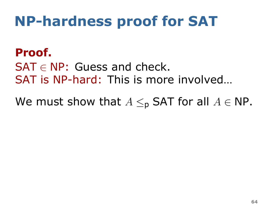#### . **Proof.** .

SAT *∈* NP: Guess and check. SAT is NP-hard: This is more involved…

We must show that  $A \leq_{p}$  SAT for all  $A \in \mathsf{NP}$ .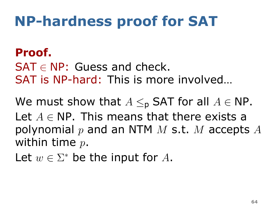#### . **Proof.** .

SAT *∈* NP: Guess and check. SAT is NP-hard: This is more involved

We must show that  $A \leq_{p}$  SAT for all  $A \in \mathsf{NP}$ . Let *A ∈* NP. This means that there exists a polynomial *p* and an NTM *M* s.t. *M* accepts *A* within time *p*.

Let  $w \in \Sigma^*$  be the input for  $A$ .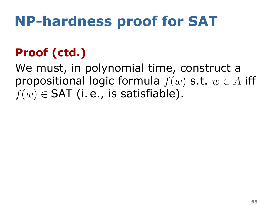### . **Proof (ctd.)** .

We must, in polynomial time, construct a propositional logic formula *f*(*w*) s.t. *w ∈ A* iff  $f(w) \in \mathsf{SAT}$  (i. e., is satisfiable).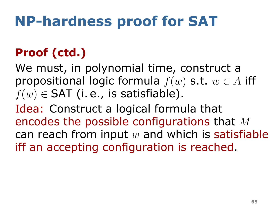### . **Proof (ctd.)** .

We must, in polynomial time, construct a propositional logic formula *f*(*w*) s.t. *w ∈ A* iff  $f(w) \in \mathsf{SAT}$  (i. e., is satisfiable).

. iff an accepting configuration is reached. Idea: Construct a logical formula that encodes the possible configurations that *M* can reach from input *w* and which is satisfiable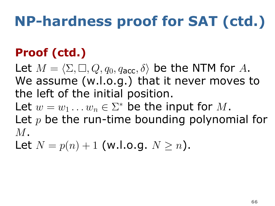### . **Proof (ctd.)** .

Let  $M = \langle \Sigma, \square, Q, q_0, q_{\text{acc}}, \delta \rangle$  be the NTM for A. We assume (w.l.o.g.) that it never moves to the left of the initial position. Let  $w = w_1 \dots w_n \in \Sigma^*$  be the input for  $M$ . Let *p* be the run-time bounding polynomial for *M*.

Let  $N = p(n) + 1$  (w.l.o.g.  $N \ge n$ ).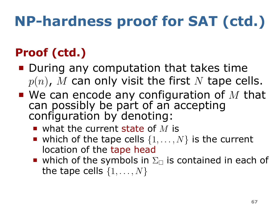### . **Proof (ctd.)** .

- During any computation that takes time *p*(*n*), *M* can only visit the first *N* tape cells.
- We can encode any configuration of *M* that can possibly be part of an accepting configuration by denoting:
	- what the current state of *M* is
	- which of the tape cells  $\{1, \ldots, N\}$  is the current location of the tape head
	- which of the symbols in  $\Sigma_{\square}$  is contained in each of the tape cells *{*1*, . . . , N}*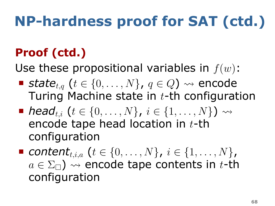### . **Proof (ctd.)** .

Use these propositional variables in *f*(*w*):

- *state<sub>t,q</sub>*  $\{t \in \{0, ..., N\}$ ,  $q \in Q$ ) ↔ encode Turing Machine state in *t*-th configuration
- *head*<sub>*ti*</sub> (*t* ∈ {0, . . . , *N*}, *i* ∈ {1, . . . , *N*}) ↔ encode tape head location in *t*-th configuration
- *contentt,i,a* (*t ∈ {*0*, . . . , N}*, *i ∈ {*1*, . . . , N}*,  $a \in \Sigma_{\square}$ )  $\rightsquigarrow$  encode tape contents in *t*-th configuration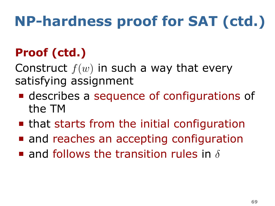### . **Proof (ctd.)** .

Construct *f*(*w*) in such a way that every satisfying assignment

- describes a sequence of configurations of the TM
- **that starts from the initial configuration**
- **and reaches an accepting configuration**
- . and follows the transition rules in *δ*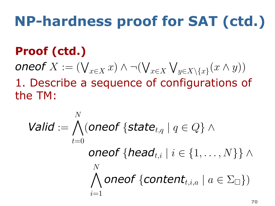### . **Proof (ctd.)** .

 $\mathsf{oneof}\ X := (\bigvee_{x\in X} x)\wedge\neg(\bigvee_{x\in X}\bigvee_{y\in X\setminus\{x\}}(x\wedge y))$ 1. Describe a sequence of configurations of the TM:

$$
\text{Valid} := \bigwedge_{t=0}^{N} (\text{oneof } \{\text{state}_{t,q} \mid q \in Q\} \land \\ \text{oneof } \{\text{head}_{t,i} \mid i \in \{1, \dots, N\}\} \land \\ \bigwedge_{i=1}^{N} \text{oneof } \{\text{content}_{t,i,a} \mid a \in \Sigma_{\Box}\})
$$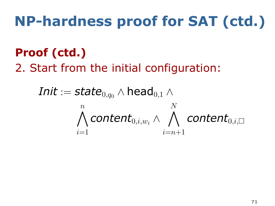### . **Proof (ctd.)** .

2. Start from the initial configuration:

$$
\textit{Init} := \textit{state}_{0,q_0} \wedge \textsf{head}_{0,1} \wedge \\ \bigwedge_{i=1}^n \textit{content}_{0,i,w_i} \wedge \bigwedge_{i=n+1}^N \textit{content}_{0,i,\Box}
$$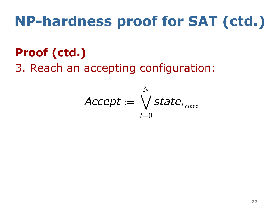### . **Proof (ctd.)** .

3. Reach an accepting configuration:

$$
\textit{Accept} := \bigvee_{t=0}^{N} \textit{state}_{t,q_\text{acc}}
$$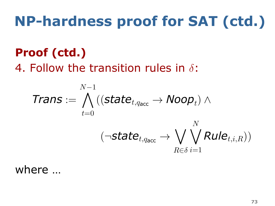### . **Proof (ctd.)** .

4. Follow the transition rules in *δ*:

$$
\textit{Trans} := \bigwedge_{t=0}^{N-1} ((\textit{state}_{t,q_{\textsf{acc}}} \rightarrow \textit{Noop}_t) \wedge \\ (\neg \textit{state}_{t,q_{\textsf{acc}}} \rightarrow \bigvee_{R \in \delta} \bigvee_{i=1}^{N} \textit{Rule}_{t,i,R}))
$$

### . where …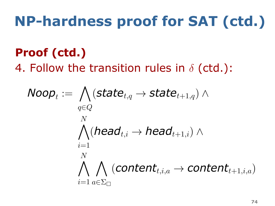### . **Proof (ctd.)** .

4. Follow the transition rules in *δ* (ctd.):

$$
\mathsf{Noop}_t := \bigwedge_{q \in Q} (\mathsf{state}_{t,q} \rightarrow \mathsf{state}_{t+1,q}) \land \\ \bigwedge_{i=1}^N (\mathsf{head}_{t,i} \rightarrow \mathsf{head}_{t+1,i}) \land \\ \bigwedge_{i=1}^N \bigwedge_{a \in \Sigma_{\Box}} (\mathsf{content}_{t,i,a} \rightarrow \mathsf{content}_{t+1,i,a})
$$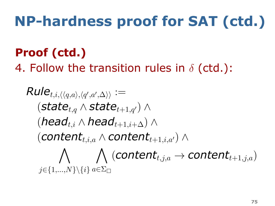### . **Proof (ctd.)** .

4. Follow the transition rules in *δ* (ctd.):

$$
\begin{aligned} \textit{Rule}_{t,i,\langle\langle q,a\rangle,\langle q',a'\rangle\Delta\rangle}) &:= \\ & (\textit{state}_{t,q} \wedge \textit{state}_{t+1,q'}) \wedge \\ & (\textit{head}_{t,i} \wedge \textit{head}_{t+1,i+\Delta}) \wedge \\ & (\textit{content}_{t,i,a} \wedge \textit{content}_{t+1,i,a'}) \wedge \\ & \bigwedge_{j \in \{1,...,N\} \setminus \{i\}} a \in \Sigma_{\Box} \end{aligned}
$$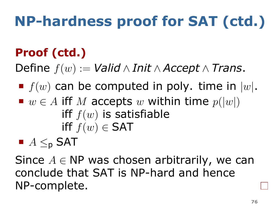### . **Proof (ctd.)** .

 $\text{Define } f(w) := \text{Valid} \land \text{Init} \land \text{Accept} \land \text{Trans}.$ 

### $\blacksquare$   $f(w)$  can be computed in poly. time in  $|w|$ . ■  $w \in A$  iff *M* accepts  $w$  within time  $p(|w|)$  $\inf f(w)$  is satisfiable *iff*  $f(w) \in SAT$

# *A ≤*<sup>p</sup> SAT

. NP-complete. Since *A ∈* NP was chosen arbitrarily, we can conclude that SAT is NP-hard and hence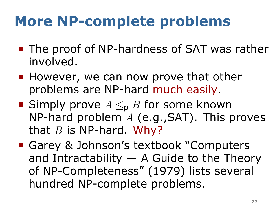## **More NP-complete problems**

- The proof of NP-hardness of SAT was rather involved.
- **However, we can now prove that other** problems are NP-hard much easily.
- Simply prove *A ≤*<sup>p</sup> *B* for some known NP-hard problem *A* (e.g.,SAT). This proves that *B* is NP-hard. Why?
- Garey & Johnson's textbook "Computers" and Intractability  $-$  A Guide to the Theory of NP-Completeness" (1979) lists several hundred NP-complete problems.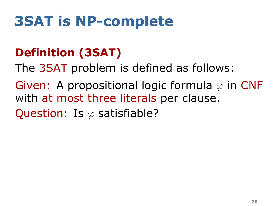### . **Definition (3SAT)** .

The 3SAT problem is defined as follows:

. Question: Is *φ* satisfiable? Given: A propositional logic formula *φ* in CNF with at most three literals per clause.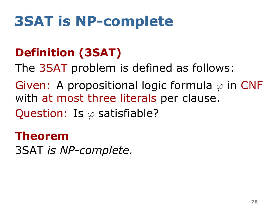### . **Definition (3SAT)** .

The 3SAT problem is defined as follows:

. Question: Is *φ* satisfiable? Given: A propositional logic formula *φ* in CNF with at most three literals per clause.

#### . **Theorem** .

.3SAT *is NP-complete.*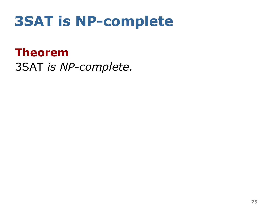. **Theorem** . .3SAT *is NP-complete.*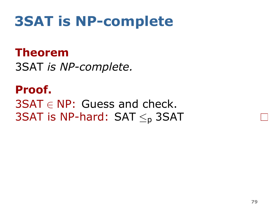#### . **Theorem** .

.3SAT *is NP-complete.*

. **Proof.** . . 3SAT is NP-hard: SAT *≤*<sup>p</sup> 3SAT 3SAT *∈* NP: Guess and check.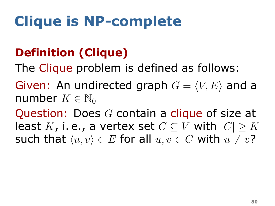### . **Definition (Clique)** .

The Clique problem is defined as follows:

Given: An undirected graph  $G = \langle V, E \rangle$  and a number  $K \in \mathbb{N}_0$ 

such that  $\langle u, v \rangle \in E$  for all  $u, v \in C$  with  $u \neq v$ ? Question: Does *G* contain a clique of size at least *K*, i.e., a vertex set  $C ⊂ V$  with  $|C| > K$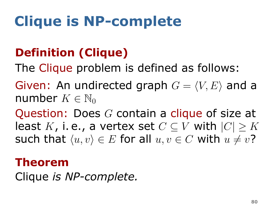### . **Definition (Clique)** .

The Clique problem is defined as follows:

Given: An undirected graph  $G = \langle V, E \rangle$  and a number  $K \in \mathbb{N}_0$ 

such that  $\langle u, v \rangle \in E$  for all  $u, v \in C$  with  $u \neq v$ ? Question: Does *G* contain a clique of size at least *K*, i.e., a vertex set  $C ⊂ V$  with  $|C| > K$ 

#### . **Theorem** .

.Clique *is NP-complete.*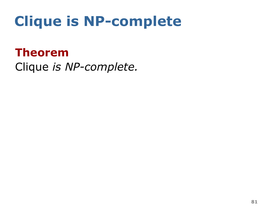#### . **Theorem** .

.Clique *is NP-complete.*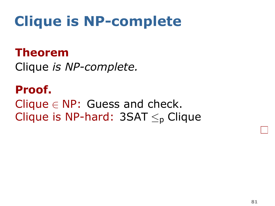#### . **Theorem** .

.Clique *is NP-complete.*

. **Proof.** . Clique *∈* NP: Guess and check. Clique is NP-hard: 3SAT *≤*<sup>p</sup> Clique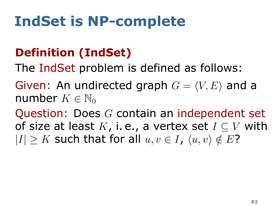### . **Definition (IndSet)** .

The IndSet problem is defined as follows:

Given: An undirected graph  $G = \langle V, E \rangle$  and a number  $K \in \mathbb{N}_0$ 

 $|I| \geq K$  such that for all  $u, v \in I$ ,  $\langle u, v \rangle \notin E$ ? Question: Does *G* contain an independent set of size at least *K*, i. e., a vertex set *I ⊆ V* with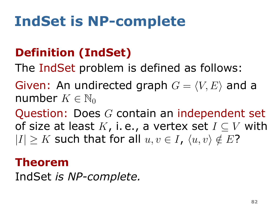### . **Definition (IndSet)** .

The IndSet problem is defined as follows:

Given: An undirected graph  $G = \langle V, E \rangle$  and a number  $K \in \mathbb{N}_0$ 

 $|I| \geq K$  such that for all  $u, v \in I$ ,  $\langle u, v \rangle \notin E$ ? Question: Does *G* contain an independent set of size at least *K*, i. e., a vertex set *I ⊆ V* with

#### . **Theorem** .

. IndSet *is NP-complete.*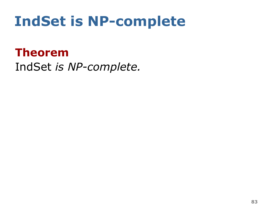#### . **Theorem** .

. IndSet *is NP-complete.*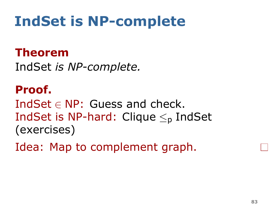#### . **Theorem** .

. IndSet *is NP-complete.*

. **Proof.** . IndSet *∈* NP: Guess and check. IndSet is NP-hard: Clique *≤*<sup>p</sup> IndSet (exercises)

. Idea: Map to complement graph.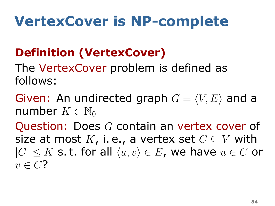## **VertexCover is NP-complete**

### . **Definition (VertexCover)** .

The VertexCover problem is defined as follows:

Given: An undirected graph  $G = \langle V, E \rangle$  and a number  $K \in \mathbb{N}_0$ 

. *v ∈ C*? Question: Does *G* contain an vertex cover of size at most  $K$ , i. e., a vertex set  $C \subseteq V$  with *|C| ≤ K* s. t. for all *⟨u, v⟩ ∈ E*, we have *u ∈ C* or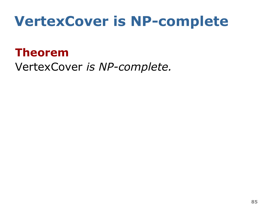## **VertexCover is NP-complete**

#### . **Theorem** .

.VertexCover *is NP-complete.*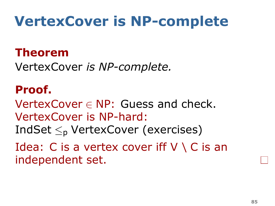## **VertexCover is NP-complete**

#### . **Theorem** .

.VertexCover *is NP-complete.*

#### . **Proof.** .

VertexCover *∈* NP: Guess and check. VertexCover is NP-hard: IndSet *≤*<sup>p</sup> VertexCover (exercises)

Idea: C is a vertex cover iff  $V \setminus C$  is an

. independent set.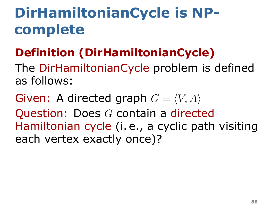### . **Definition (DirHamiltonianCycle)** .

The DirHamiltonianCycle problem is defined as follows:

. each vertex exactly once)? Given: A directed graph  $G = \langle V, A \rangle$ Question: Does *G* contain a directed Hamiltonian cycle (i. e., a cyclic path visiting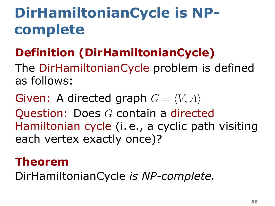### . **Definition (DirHamiltonianCycle)** .

The DirHamiltonianCycle problem is defined as follows:

. each vertex exactly once)? Given: A directed graph  $G = \langle V, A \rangle$ Question: Does *G* contain a directed Hamiltonian cycle (i. e., a cyclic path visiting

#### . **Theorem** .

.DirHamiltonianCycle *is NP-complete.*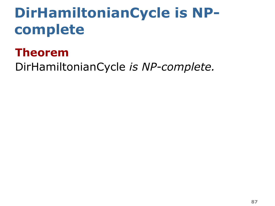#### . **Theorem** .

.DirHamiltonianCycle *is NP-complete.*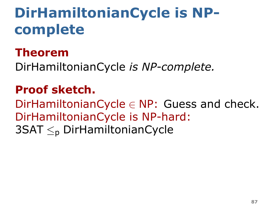#### . **Theorem** .

.DirHamiltonianCycle *is NP-complete.*

#### . **Proof sketch.** .

DirHamiltonianCycle *∈* NP: Guess and check. DirHamiltonianCycle is NP-hard:

. 3SAT *≤*<sup>p</sup> DirHamiltonianCycle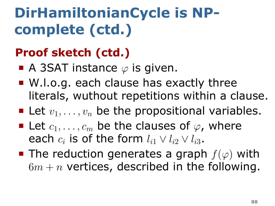### . **Proof sketch (ctd.)** .

- A 3SAT instance  $\varphi$  is given.
- W.l.o.g. each clause has exactly three literals, wuthout repetitions within a clause.
- **Example 1** Let  $v_1, \ldots, v_n$  be the propositional variables.
- **Let**  $c_1, \ldots, c_m$  be the clauses of  $\varphi$ , where each  $c_i$  is of the form  $l_{i1} \vee l_{i2} \vee l_{i3}$ .
- The reduction generates a graph  $f(\varphi)$  with  $6m + n$  vertices, described in the following.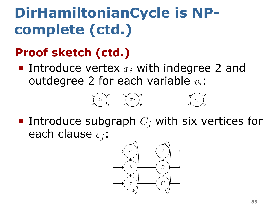### . **Proof sketch (ctd.)** .

Introduce vertex  $x_i$  with indegree 2 and outdegree 2 for each variable *vi*:





Introduce subgraph  $C_i$  with six vertices for each clause *cj*:

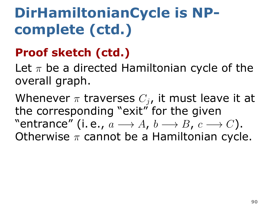### . **Proof sketch (ctd.)** .

Let *π* be a directed Hamiltonian cycle of the overall graph.

. Otherwise *π* cannot be a Hamiltonian cycle. Whenever  $\pi$  traverses  $C_i$ , it must leave it at the corresponding "exit" for the given "entrance" (i. e., *a −→ A*, *b −→ B*, *c −→ C*).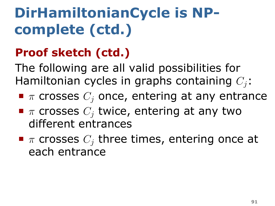### . **Proof sketch (ctd.)** .

The following are all valid possibilities for Hamiltonian cycles in graphs containing *Cj*:

- *π* crosses *C<sup>j</sup>* once, entering at any entrance
- *π* crosses *C<sup>j</sup>* twice, entering at any two different entrances
- *π* crosses *C<sup>j</sup>* three times, entering once at each entrance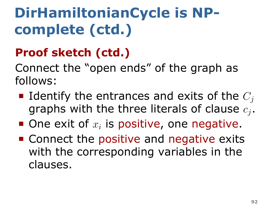### . **Proof sketch (ctd.)** .

Connect the "open ends" of the graph as follows:

- Identify the entrances and exits of the  $C_i$ graphs with the three literals of clause *c<sup>j</sup>* .
- One exit of  $x_i$  is positive, one negative.
- **Connect the positive and negative exits** with the corresponding variables in the clauses.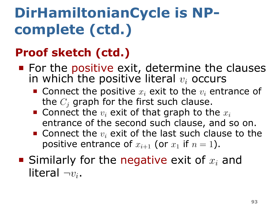### . **Proof sketch (ctd.)** .

- For the positive exit, determine the clauses in which the positive literal *v<sup>i</sup>* occurs
	- Connect the positive *x<sup>i</sup>* exit to the *v<sup>i</sup>* entrance of the *C<sup>j</sup>* graph for the first such clause.
	- $\blacksquare$  Connect the  $v_i$  exit of that graph to the  $x_i$ entrance of the second such clause, and so on.
	- Connect the  $v_i$  exit of the last such clause to the positive entrance of  $x_{i+1}$  (or  $x_1$  if  $n=1$ ).
- Similarly for the negative exit of *x<sup>i</sup>* and literal *¬vi*.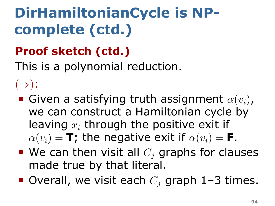### . **Proof sketch (ctd.)** .

This is a polynomial reduction.

(*⇒*):

- Given a satisfying truth assignment  $\alpha(v_i)$ , we can construct a Hamiltonian cycle by leaving *x<sup>i</sup>* through the positive exit if  $\alpha(v_i) = \mathbf{T}$ ; the negative exit if  $\alpha(v_i) = \mathbf{F}$ .
- $\blacksquare$  We can then visit all  $C_i$  graphs for clauses made true by that literal.
- Overall, we visit each  $C<sub>i</sub>$  graph 1–3 times.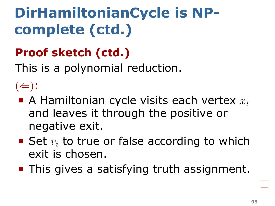### . **Proof sketch (ctd.)** .

This is a polynomial reduction.

(*⇐*):

- A Hamiltonian cycle visits each vertex *x<sup>i</sup>* and leaves it through the positive or negative exit.
- Set  $v_i$  to true or false according to which exit is chosen.
- **This gives a satisfying truth assignment.**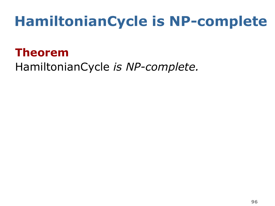## **HamiltonianCycle is NP-complete**

#### . **Theorem** .

.HamiltonianCycle *is NP-complete.*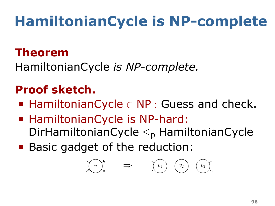# **HamiltonianCycle is NP-complete**

#### . **Theorem** .

.HamiltonianCycle *is NP-complete.*

#### . **Proof sketch.** .

- HamiltonianCycle *∈* NP : Guess and check.
- HamiltonianCycle is NP-hard: DirHamiltonianCycle *≤*<sup>p</sup> HamiltonianCycle
- **Basic gadget of the reduction:**

*<sup>v</sup>*. *⇒ <sup>v</sup>*<sup>1</sup> *<sup>v</sup>*<sup>2</sup> *<sup>v</sup>*<sup>3</sup>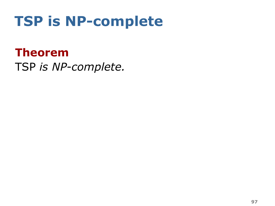### **TSP is NP-complete**

. **Theorem** . .TSP *is NP-complete.*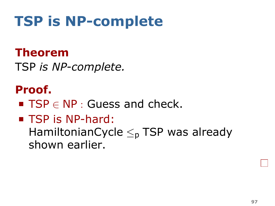### **TSP is NP-complete**

#### . **Theorem** .

.TSP *is NP-complete.*

#### . **Proof.** .

- TSP *∈* NP : Guess and check.
- TSP is NP-hard:

HamiltonianCycle *≤*<sup>p</sup> TSP was already shown earlier.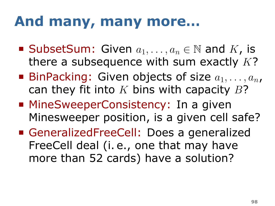### **And many, many more…**

- SubsetSum: Given  $a_1, \ldots, a_n \in \mathbb{N}$  and  $K$ , is there a subsequence with sum exactly *K*?
- BinPacking: Given objects of size  $a_1, \ldots, a_n$ , can they fit into *K* bins with capacity *B*?
- MineSweeperConsistency: In a given Minesweeper position, is a given cell safe?
- GeneralizedFreeCell: Does a generalized FreeCell deal (i. e., one that may have more than 52 cards) have a solution?